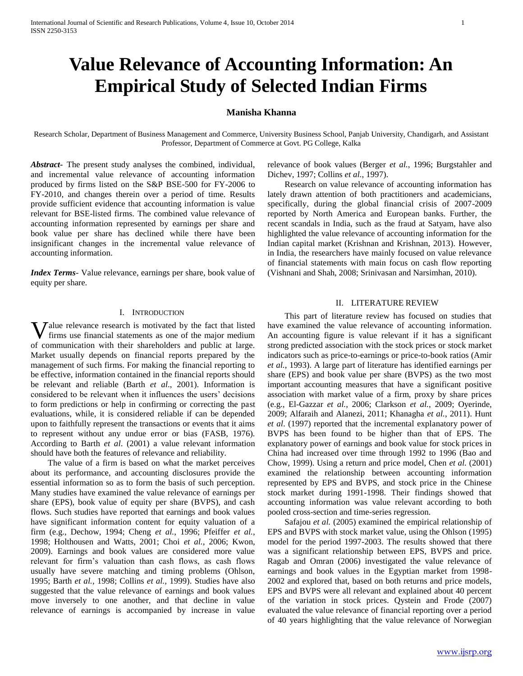# **Value Relevance of Accounting Information: An Empirical Study of Selected Indian Firms**

# **Manisha Khanna**

Research Scholar, Department of Business Management and Commerce, University Business School, Panjab University, Chandigarh, and Assistant Professor, Department of Commerce at Govt. PG College, Kalka

*Abstract***-** The present study analyses the combined, individual, and incremental value relevance of accounting information produced by firms listed on the S&P BSE-500 for FY-2006 to FY-2010, and changes therein over a period of time. Results provide sufficient evidence that accounting information is value relevant for BSE-listed firms. The combined value relevance of accounting information represented by earnings per share and book value per share has declined while there have been insignificant changes in the incremental value relevance of accounting information.

*Index Terms*- Value relevance, earnings per share, book value of equity per share.

#### I. INTRODUCTION

alue relevance research is motivated by the fact that listed **V** alue relevance research is motivated by the fact that listed firms use financial statements as one of the major medium of communication with their shareholders and public at large. Market usually depends on financial reports prepared by the management of such firms. For making the financial reporting to be effective, information contained in the financial reports should be relevant and reliable (Barth *et al*., 2001). Information is considered to be relevant when it influences the users' decisions to form predictions or help in confirming or correcting the past evaluations, while, it is considered reliable if can be depended upon to faithfully represent the transactions or events that it aims to represent without any undue error or bias (FASB, 1976). According to Barth *et al*. (2001) a value relevant information should have both the features of relevance and reliability.

 The value of a firm is based on what the market perceives about its performance, and accounting disclosures provide the essential information so as to form the basis of such perception. Many studies have examined the value relevance of earnings per share (EPS), book value of equity per share (BVPS), and cash flows. Such studies have reported that earnings and book values have significant information content for equity valuation of a firm (e.g., Dechow, 1994; Cheng *et al.*, 1996; Pfeiffer *et al.*, 1998; Holthousen and Watts, 2001; Choi *et al.*, 2006; Kwon, 2009). Earnings and book values are considered more value relevant for firm's valuation than cash flows, as cash flows usually have severe matching and timing problems (Ohlson, 1995; Barth *et al.*, 1998; Collins *et al.*, 1999). Studies have also suggested that the value relevance of earnings and book values move inversely to one another, and that decline in value relevance of earnings is accompanied by increase in value

relevance of book values (Berger *et al.*, 1996; Burgstahler and Dichev, 1997; Collins *et al.*, 1997).

 Research on value relevance of accounting information has lately drawn attention of both practitioners and academicians, specifically, during the global financial crisis of 2007-2009 reported by North America and European banks. Further, the recent scandals in India, such as the fraud at Satyam, have also highlighted the value relevance of accounting information for the Indian capital market (Krishnan and Krishnan, 2013). However, in India, the researchers have mainly focused on value relevance of financial statements with main focus on cash flow reporting (Vishnani and Shah, 2008; Srinivasan and Narsimhan, 2010).

# II. LITERATURE REVIEW

 This part of literature review has focused on studies that have examined the value relevance of accounting information. An accounting figure is value relevant if it has a significant strong predicted association with the stock prices or stock market indicators such as price-to-earnings or price-to-book ratios (Amir *et al.*, 1993). A large part of literature has identified earnings per share (EPS) and book value per share (BVPS) as the two most important accounting measures that have a significant positive association with market value of a firm, proxy by share prices (e.g., El-Gazzar *et al.*, 2006; Clarkson *et al.*, 2009; Oyerinde, 2009; Alfaraih and Alanezi, 2011; Khanagha *et al.*, 2011). Hunt *et al*. (1997) reported that the incremental explanatory power of BVPS has been found to be higher than that of EPS. The explanatory power of earnings and book value for stock prices in China had increased over time through 1992 to 1996 (Bao and Chow, 1999). Using a return and price model, Chen *et al.* (2001) examined the relationship between accounting information represented by EPS and BVPS, and stock price in the Chinese stock market during 1991-1998. Their findings showed that accounting information was value relevant according to both pooled cross-section and time-series regression.

 Safajou *et al.* (2005) examined the empirical relationship of EPS and BVPS with stock market value, using the Ohlson (1995) model for the period 1997-2003. The results showed that there was a significant relationship between EPS, BVPS and price. Ragab and Omran (2006) investigated the value relevance of earnings and book values in the Egyptian market from 1998- 2002 and explored that, based on both returns and price models, EPS and BVPS were all relevant and explained about 40 percent of the variation in stock prices. Qystein and Frode (2007) evaluated the value relevance of financial reporting over a period of 40 years highlighting that the value relevance of Norwegian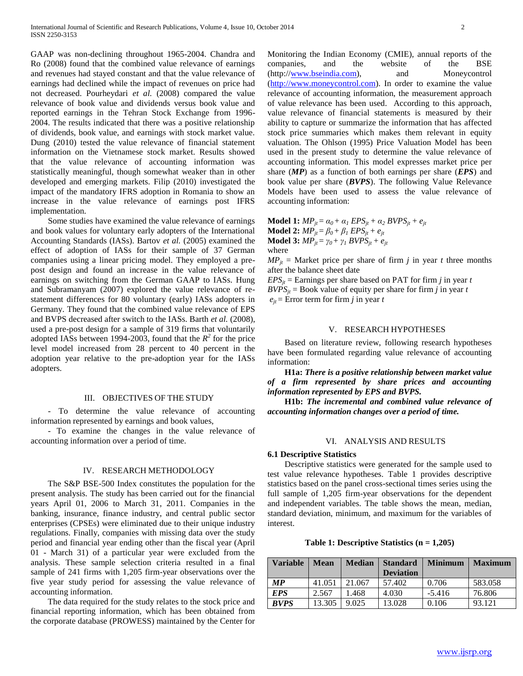GAAP was non-declining throughout 1965-2004. Chandra and Ro (2008) found that the combined value relevance of earnings and revenues had stayed constant and that the value relevance of earnings had declined while the impact of revenues on price had not decreased. Pourheydari *et al.* (2008) compared the value relevance of book value and dividends versus book value and reported earnings in the Tehran Stock Exchange from 1996- 2004. The results indicated that there was a positive relationship of dividends, book value, and earnings with stock market value. Dung (2010) tested the value relevance of financial statement information on the Vietnamese stock market. Results showed that the value relevance of accounting information was statistically meaningful, though somewhat weaker than in other developed and emerging markets. Filip (2010) investigated the impact of the mandatory IFRS adoption in Romania to show an increase in the value relevance of earnings post IFRS implementation.

 Some studies have examined the value relevance of earnings and book values for voluntary early adopters of the International Accounting Standards (IASs). Bartov *et al.* (2005) examined the effect of adoption of IASs for their sample of 37 German companies using a linear pricing model. They employed a prepost design and found an increase in the value relevance of earnings on switching from the German GAAP to IASs. Hung and Subramanyam (2007) explored the value relevance of restatement differences for 80 voluntary (early) IASs adopters in Germany. They found that the combined value relevance of EPS and BVPS decreased after switch to the IASs. Barth *et al.* (2008), used a pre-post design for a sample of 319 firms that voluntarily adopted IASs between 1994-2003, found that the  $R^2$  for the price level model increased from 28 percent to 40 percent in the adoption year relative to the pre-adoption year for the IASs adopters.

#### III. OBJECTIVES OF THE STUDY

 - To determine the value relevance of accounting information represented by earnings and book values,

 - To examine the changes in the value relevance of accounting information over a period of time.

#### IV. RESEARCH METHODOLOGY

 The S&P BSE-500 Index constitutes the population for the present analysis. The study has been carried out for the financial years April 01, 2006 to March 31, 2011. Companies in the banking, insurance, finance industry, and central public sector enterprises (CPSEs) were eliminated due to their unique industry regulations. Finally, companies with missing data over the study period and financial year ending other than the fiscal year (April 01 - March 31) of a particular year were excluded from the analysis. These sample selection criteria resulted in a final sample of 241 firms with 1,205 firm-year observations over the five year study period for assessing the value relevance of accounting information.

 The data required for the study relates to the stock price and financial reporting information, which has been obtained from the corporate database (PROWESS) maintained by the Center for Monitoring the Indian Economy (CMIE), annual reports of the companies, and the website of the BSE (http:/[/www.bseindia.com\)](http://www.bseindia.com/), and Moneycontrol [\(http://www.moneycontrol.com\)](http://www.moneycontrol.com/). In order to examine the value relevance of accounting information, the measurement approach of value relevance has been used. According to this approach, value relevance of financial statements is measured by their ability to capture or summarize the information that has affected stock price summaries which makes them relevant in equity valuation. The Ohlson (1995) Price Valuation Model has been used in the present study to determine the value relevance of accounting information. This model expresses market price per share (*MP*) as a function of both earnings per share (*EPS*) and book value per share (*BVPS*). The following Value Relevance Models have been used to assess the value relevance of accounting information:

**Model 1:**  $MP_{it} = \alpha_0 + \alpha_1 EPS_{it} + \alpha_2 BVPS_{it} + e_{it}$ **Model 2:**  $MP_{it} = \beta_0 + \beta_1 EPS_{it} + e_{it}$ **Model 3:**  $MP_{it} = \gamma_0 + \gamma_1 BVPS_{it} + e_{it}$ where

 $MP_{it}$  = Market price per share of firm *j* in year *t* three months after the balance sheet date

 $EPS<sub>it</sub>$  = Earnings per share based on PAT for firm *j* in year *t*  $BVPS_i$  = Book value of equity per share for firm *j* in year *t*  $e_{it}$  = Error term for firm *j* in year *t* 

# V. RESEARCH HYPOTHESES

 Based on literature review, following research hypotheses have been formulated regarding value relevance of accounting information:

 **H1a:** *There is a positive relationship between market value of a firm represented by share prices and accounting information represented by EPS and BVPS.*

 **H1b:** *The incremental and combined value relevance of accounting information changes over a period of time.*

# VI. ANALYSIS AND RESULTS

# **6.1 Descriptive Statistics**

 Descriptive statistics were generated for the sample used to test value relevance hypotheses. Table 1 provides descriptive statistics based on the panel cross-sectional times series using the full sample of 1,205 firm-year observations for the dependent and independent variables. The table shows the mean, median, standard deviation, minimum, and maximum for the variables of interest.

**Table 1: Descriptive Statistics (n = 1,205)**

| <b>Variable</b>   | <b>Mean</b> | <b>Median</b> | <b>Standard</b><br><b>Deviation</b> | <b>Minimum</b> | <b>Maximum</b> |
|-------------------|-------------|---------------|-------------------------------------|----------------|----------------|
| $\boldsymbol{MP}$ | 41.051      | 21.067        | 57.402                              | 0.706          | 583.058        |
| <b>EPS</b>        | 2.567       | 1.468         | 4.030                               | $-5.416$       | 76.806         |
| <b>BVPS</b>       | 13.305      | 9.025         | 13.028                              | 0.106          | 93.121         |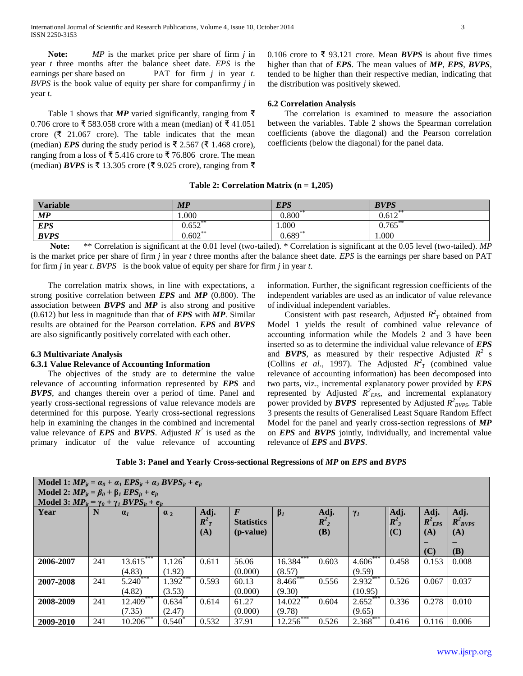**Note:** *MP* is the market price per share of firm *j* in year *t* three months after the balance sheet date. *EPS* is the earnings per share based on PAT for firm *j* in year *t*. *BVPS* is the book value of equity per share for companfirmy *j* in year *t*.

Table 1 shows that *MP* varied significantly, ranging from  $\bar{\tau}$ 0.706 crore to ₹ 583.058 crore with a mean (median) of ₹ 41.051 crore ( $\bar{\xi}$  21.067 crore). The table indicates that the mean (median) *EPS* during the study period is ₹ 2.567 (₹ 1.468 crore), ranging from a loss of ₹ 5.416 crore to ₹ 76.806 crore. The mean (median) *BVPS* is ₹ 13.305 crore (₹ 9.025 crore), ranging from ₹

0.106 crore to ₹ 93.121 crore. Mean *BVPS* is about five times higher than that of *EPS*. The mean values of *MP*, *EPS*, *BVPS*, tended to be higher than their respective median, indicating that the distribution was positively skewed.

# **6.2 Correlation Analysis**

 The correlation is examined to measure the association between the variables. Table 2 shows the Spearman correlation coefficients (above the diagonal) and the Pearson correlation coefficients (below the diagonal) for the panel data.

# **Table 2: Correlation Matrix (n = 1,205)**

| <b>Variable</b> | MP        | <b>EPS</b>  | <b>BVPS</b>   |
|-----------------|-----------|-------------|---------------|
| MP              | .000      | $0.800^{*}$ | 0.612         |
| <b>EPS</b>      | 0.652     | 000.1       | $0.765^\circ$ |
| <b>BVPS</b>     | $0.602**$ | $0.689**$   | 000.1         |

 **Note:** \*\* Correlation is significant at the 0.01 level (two-tailed). \* Correlation is significant at the 0.05 level (two-tailed). *MP*  is the market price per share of firm *j* in year *t* three months after the balance sheet date. *EPS* is the earnings per share based on PAT for firm *j* in year *t*. *BVPS* is the book value of equity per share for firm *j* in year *t*.

 The correlation matrix shows, in line with expectations, a strong positive correlation between *EPS* and *MP* (0.800). The association between *BVPS* and *MP* is also strong and positive (0.612) but less in magnitude than that of *EPS* with *MP*. Similar results are obtained for the Pearson correlation. *EPS* and *BVPS* are also significantly positively correlated with each other.

# **6.3 Multivariate Analysis**

# **6.3.1 Value Relevance of Accounting Information**

 The objectives of the study are to determine the value relevance of accounting information represented by *EPS* and *BVPS*, and changes therein over a period of time. Panel and yearly cross-sectional regressions of value relevance models are determined for this purpose. Yearly cross-sectional regressions help in examining the changes in the combined and incremental value relevance of *EPS* and *BVPS*. Adjusted  $R^2$  is used as the primary indicator of the value relevance of accounting

information. Further, the significant regression coefficients of the independent variables are used as an indicator of value relevance of individual independent variables.

Consistent with past research, Adjusted  $R^2$ <sup>7</sup> obtained from Model 1 yields the result of combined value relevance of accounting information while the Models 2 and 3 have been inserted so as to determine the individual value relevance of *EPS*  and *BVPS*, as measured by their respective Adjusted  $R^2$  s (Collins *et al.*, 1997). The Adjusted  $R^2$ <sup>2</sup> (combined value) relevance of accounting information) has been decomposed into two parts, viz., incremental explanatory power provided by *EPS*  represented by Adjusted  $R^2$ <sub>*EPS*</sub>, and incremental explanatory power provided by *BVPS* represented by Adjusted  $R^2_{BVPS}$ . Table 3 presents the results of Generalised Least Square Random Effect Model for the panel and yearly cross-section regressions of *MP*  on *EPS* and *BVPS* jointly, individually, and incremental value relevance of *EPS* and *BVPS*.

**Table 3: Panel and Yearly Cross-sectional Regressions of** *MP* **on** *EPS* **and** *BVPS*

|                                                             | Model 1: $MP_{it} = \alpha_0 + \alpha_1 EPS_{it} + \alpha_2 BVPS_{it} + e_{it}$<br>Model 2: $MP_{it} = \beta_0 + \beta_1 EPS_{it} + e_{it}$ |                          |                   |       |                    |             |         |                        |                    |             |              |  |  |
|-------------------------------------------------------------|---------------------------------------------------------------------------------------------------------------------------------------------|--------------------------|-------------------|-------|--------------------|-------------|---------|------------------------|--------------------|-------------|--------------|--|--|
| Model 3: $MP_{it} = \gamma_0 + \gamma_1 BVPS_{it} + e_{it}$ |                                                                                                                                             |                          |                   |       |                    |             |         |                        |                    |             |              |  |  |
| Year                                                        | N                                                                                                                                           | $\mathbf{a}_1$           | $\alpha_2$        | Adj.  | $\boldsymbol{F}$   | $\beta_I$   | Adj.    | $\gamma_I$             | Adj.               | Adj.        | Adj.         |  |  |
|                                                             |                                                                                                                                             |                          |                   | $R^2$ | <b>Statistics</b>  |             | $R_2^2$ |                        | $R^2$ <sub>3</sub> | $R^2_{EPS}$ | $R^2_{BVPS}$ |  |  |
|                                                             |                                                                                                                                             |                          |                   | (A)   | ( <i>p</i> -value) |             | (B)     |                        | (C)                | (A)         | <b>(A)</b>   |  |  |
|                                                             |                                                                                                                                             |                          |                   |       |                    |             |         |                        |                    | (C)         | <b>(B)</b>   |  |  |
| 2006-2007                                                   | 241                                                                                                                                         | $13.615***$              | $1.126*$          | 0.611 | 56.06              | $16.384***$ | 0.603   | $4.606***$             | 0.458              | 0.153       | 0.008        |  |  |
|                                                             |                                                                                                                                             | (4.83)                   | (1.92)            |       | (0.000)            | (8.57)      |         | (9.59)                 |                    |             |              |  |  |
| 2007-2008                                                   | 241                                                                                                                                         | $5.240***$               | $1.392***$        | 0.593 | 60.13              | 8.466***    | 0.556   | $2.932***$             | 0.526              | 0.067       | 0.037        |  |  |
|                                                             |                                                                                                                                             | (4.82)                   | (3.53)            |       | (0.000)            | (9.30)      |         | (10.95)                |                    |             |              |  |  |
| 2008-2009                                                   | 241                                                                                                                                         | 12.409                   | 0.634             | 0.614 | 61.27              | 14.022      | 0.604   | 2.652                  | 0.336              | 0.278       | 0.010        |  |  |
|                                                             |                                                                                                                                             | (7.35)                   | (2.47)            |       | (0.000)            | (9.78)      |         | (9.65)                 |                    |             |              |  |  |
| 2009-2010                                                   | 241                                                                                                                                         | $10.206$ <sup>****</sup> | $0.540^{\degree}$ | 0.532 | 37.91              | 12.256      | 0.526   | $2.368$ <sup>***</sup> | 0.416              | 0.116       | 0.006        |  |  |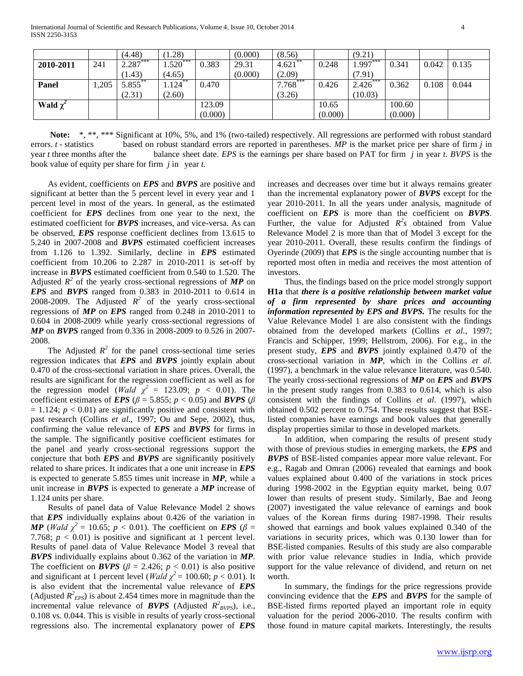|               |      | (4.48)     | (1.28)               |         | (0.000) | (8.56)     |         | (9.21)  |         |       |       |
|---------------|------|------------|----------------------|---------|---------|------------|---------|---------|---------|-------|-------|
| 2010-2011     | 241  | $2.287***$ | $1.520***$           | 0.383   | 29.31   | $4.621$ ** | 0.248   | 1.997   | 0.341   | 0.042 | 0.135 |
|               |      | (1.43)     | (4.65)               |         | (0.000) | (2.09)     |         | (7.91)  |         |       |       |
| Panel         | .205 | 5.855      | $1.124$ <sup>*</sup> | 0.470   |         | 7.768      | 0.426   | 2.426   | 0.362   | 0.108 | 0.044 |
|               |      | (2.31)     | (2.60)               |         |         | (3.26)     |         | (10.03) |         |       |       |
| Wald $\chi^2$ |      |            |                      | 123.09  |         |            | 10.65   |         | 100.60  |       |       |
|               |      |            |                      | (0.000) |         |            | (0.000) |         | (0.000) |       |       |

Note: \*, \*\*, \*\*\* Significant at 10%, 5%, and 1% (two-tailed) respectively. All regressions are performed with robust standard errors. *t* - statistics based on robust standard errors are reported in parentheses. *MP* is the market price per share of firm *j* in year *t* three months after the balance sheet date. *EPS* is the earnings per share based on PAT for firm *j* in year *t. BVPS* is the book value of equity per share for firm *j* in year *t.*

 As evident, coefficients on *EPS* and *BVPS* are positive and significant at better than the 5 percent level in every year and 1 percent level in most of the years. In general, as the estimated coefficient for *EPS* declines from one year to the next, the estimated coefficient for *BVPS* increases, and vice-versa. As can be observed, *EPS* response coefficient declines from 13.615 to 5.240 in 2007-2008 and *BVPS* estimated coefficient increases from 1.126 to 1.392. Similarly, decline in *EPS* estimated coefficient from 10.206 to 2.287 in 2010-2011 is set-off by increase in *BVPS* estimated coefficient from 0.540 to 1.520. The Adjusted  $R^2$  of the yearly cross-sectional regressions of **MP** on *EPS* and *BVPS* ranged from 0.383 in 2010-2011 to 0.614 in 2008-2009. The Adjusted  $R^2$  of the yearly cross-sectional regressions of *MP* on *EPS* ranged from 0.248 in 2010-2011 to 0.604 in 2008-2009 while yearly cross-sectional regressions of *MP* on *BVPS* ranged from 0.336 in 2008-2009 to 0.526 in 2007- 2008.

The Adjusted  $R^2$  for the panel cross-sectional time series regression indicates that *EPS* and *BVPS* jointly explain about 0.470 of the cross-sectional variation in share prices. Overall, the results are significant for the regression coefficient as well as for the regression model (*Wald*  $\chi^2 = 123.09; p < 0.01$ ). The coefficient estimates of *EPS* ( $\beta$  = 5.855;  $p < 0.05$ ) and *BVPS* ( $\beta$  $= 1.124$ ;  $p < 0.01$ ) are significantly positive and consistent with past research (Collins *et al.,* 1997; Ou and Sepe, 2002), thus, confirming the value relevance of *EPS* and *BVPS* for firms in the sample. The significantly positive coefficient estimates for the panel and yearly cross-sectional regressions support the conjecture that both *EPS* and *BVPS* are significantly positively related to share prices. It indicates that a one unit increase in *EPS* is expected to generate 5.855 times unit increase in *MP*, while a unit increase in *BVPS* is expected to generate a *MP* increase of 1.124 units per share.

 Results of panel data of Value Relevance Model 2 shows that *EPS* individually explains about 0.426 of the variation in *MP* (*Wald*  $\chi^2 = 10.65$ ;  $p < 0.01$ ). The coefficient on *EPS* ( $\beta =$ 7.768;  $p < 0.01$ ) is positive and significant at 1 percent level. Results of panel data of Value Relevance Model 3 reveal that *BVPS* individually explains about 0.362 of the variation in *MP*. The coefficient on *BVPS* ( $\beta$  = 2.426; *p* < 0.01) is also positive and significant at 1 percent level (*Wald*  $\chi^2$  = 100.60; *p* < 0.01). It is also evident that the incremental value relevance of *EPS* (Adjusted  $R^2_{EPS}$ ) is about 2.454 times more in magnitude than the incremental value relevance of *BVPS* (Adjusted  $R^2_{BVPS}$ ), i.e., 0.108 vs. 0.044. This is visible in results of yearly cross-sectional regressions also. The incremental explanatory power of *EPS*

increases and decreases over time but it always remains greater than the incremental explanatory power of *BVPS* except for the year 2010-2011. In all the years under analysis, magnitude of coefficient on *EPS* is more than the coefficient on *BVPS*. Further, the value for Adjusted  $R^2s$  obtained from Value Relevance Model 2 is more than that of Model 3 except for the year 2010-2011. Overall, these results confirm the findings of Oyerinde (2009) that *EPS* is the single accounting number that is reported most often in media and receives the most attention of investors.

 Thus, the findings based on the price model strongly support **H1a** that *there is a positive relationship between market value of a firm represented by share prices and accounting information represented by EPS and BVPS.* The results for the Value Relevance Model 1 are also consistent with the findings obtained from the developed markets (Collins *et al.*, 1997; Francis and Schipper, 1999; Hellstrom, 2006). For e.g., in the present study, *EPS* and *BVPS* jointly explained 0.470 of the cross-sectional variation in *MP*, which in the Collins *et al.* (1997), a benchmark in the value relevance literature, was 0.540. The yearly cross-sectional regressions of *MP* on *EPS* and *BVPS* in the present study ranges from 0.383 to 0.614, which is also consistent with the findings of Collins *et al*. (1997), which obtained 0.502 percent to 0.754. These results suggest that BSElisted companies have earnings and book values that generally display properties similar to those in developed markets.

 In addition, when comparing the results of present study with those of previous studies in emerging markets, the *EPS* and *BVPS* of BSE-listed companies appear more value relevant. For e.g., Ragab and Omran (2006) revealed that earnings and book values explained about 0.400 of the variations in stock prices during 1998-2002 in the Egyptian equity market, being 0.07 lower than results of present study. Similarly, Bae and Jeong (2007) investigated the value relevance of earnings and book values of the Korean firms during 1987-1998. Their results showed that earnings and book values explained 0.340 of the variations in security prices, which was 0.130 lower than for BSE-listed companies. Results of this study are also comparable with prior value relevance studies in India, which provide support for the value relevance of dividend, and return on net worth.

 In summary, the findings for the price regressions provide convincing evidence that the *EPS* and *BVPS* for the sample of BSE-listed firms reported played an important role in equity valuation for the period 2006-2010. The results confirm with those found in mature capital markets. Interestingly, the results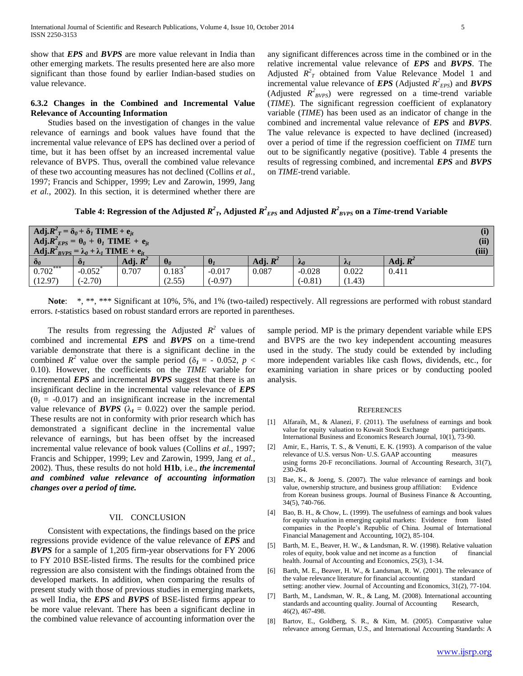show that *EPS* and *BVPS* are more value relevant in India than other emerging markets. The results presented here are also more significant than those found by earlier Indian-based studies on value relevance.

# **6.3.2 Changes in the Combined and Incremental Value Relevance of Accounting Information**

 Studies based on the investigation of changes in the value relevance of earnings and book values have found that the incremental value relevance of EPS has declined over a period of time, but it has been offset by an increased incremental value relevance of BVPS. Thus, overall the combined value relevance of these two accounting measures has not declined (Collins *et al.*, 1997; Francis and Schipper, 1999; Lev and Zarowin, 1999, Jang *et al.*, 2002). In this section, it is determined whether there are

any significant differences across time in the combined or in the relative incremental value relevance of *EPS* and *BVPS*. The Adjusted  $R^2_T$  obtained from Value Relevance Model 1 and incremental value relevance of *EPS* (Adjusted  $R^2_{EPS}$ ) and *BVPS* (Adjusted  $R^2_{BVPS}$ ) were regressed on a time-trend variable (*TIME*). The significant regression coefficient of explanatory variable (*TIME*) has been used as an indicator of change in the combined and incremental value relevance of *EPS* and *BVPS*. The value relevance is expected to have declined (increased) over a period of time if the regression coefficient on *TIME* turn out to be significantly negative (positive). Table 4 presents the results of regressing combined, and incremental *EPS* and *BVPS*  on *TIME*-trend variable.

# Table 4: Regression of the Adjusted  $R^2_{\;\:I}$ , Adjusted  $R^2_{\;\:EPS}$  and Adjusted  $R^2_{\;\:BVPS}$  on a *Time-*trend Variable

| Adj. $R^2_T = \delta_\theta + \delta_I$ TIME + $e_{it}$<br>Adj. $R^2_{EPS} = \theta_0 + \theta_1$ TIME + $e_{it}$<br>$\mathbf{Adj} \cdot \mathbf{R}^2_{BYPS} = \lambda_0 + \lambda_1 \mathbf{TIME} + \mathbf{e}_{it}$ |                       |            |                |           |            |                        |                |            |  |
|-----------------------------------------------------------------------------------------------------------------------------------------------------------------------------------------------------------------------|-----------------------|------------|----------------|-----------|------------|------------------------|----------------|------------|--|
| $\delta_{\theta}$                                                                                                                                                                                                     | $\mathbf{0}_1$        | Adj. $R^2$ | $\mathbf{U}_0$ |           | Adj. $R^2$ | $\mathcal{M}_{\theta}$ | $\mathcal{N}1$ | Adj. $R^2$ |  |
| $0.702***$                                                                                                                                                                                                            | $-0.052$ <sup>*</sup> | 0.707      | 0.183          | $-0.017$  | 0.087      | $-0.028$               | 0.022          | 0.411      |  |
| (12.97)                                                                                                                                                                                                               | $(-2.70)$             |            | (2.55)         | $(-0.97)$ |            | $(-0.81)$              | (1.43)         |            |  |

 **Note**: \*, \*\*, \*\*\* Significant at 10%, 5%, and 1% (two-tailed) respectively. All regressions are performed with robust standard errors. *t*-statistics based on robust standard errors are reported in parentheses.

The results from regressing the Adjusted  $R^2$  values of combined and incremental *EPS* and *BVPS* on a time-trend variable demonstrate that there is a significant decline in the combined  $R^2$  value over the sample period ( $\delta_I$  = - 0.052, *p* < 0.10). However, the coefficients on the *TIME* variable for incremental *EPS* and incremental *BVPS* suggest that there is an insignificant decline in the incremental value relevance of *EPS*  $(\theta_1 = -0.017)$  and an insignificant increase in the incremental value relevance of *BVPS* ( $\lambda_I = 0.022$ ) over the sample period. These results are not in conformity with prior research which has demonstrated a significant decline in the incremental value relevance of earnings, but has been offset by the increased incremental value relevance of book values (Collins *et al.*, 1997; Francis and Schipper, 1999; Lev and Zarowin, 1999, Jang *et al.*, 2002). Thus, these results do not hold **H1b**, i.e., *the incremental and combined value relevance of accounting information changes over a period of time.*

# VII. CONCLUSION

 Consistent with expectations, the findings based on the price regressions provide evidence of the value relevance of *EPS* and *BVPS* for a sample of 1,205 firm-year observations for FY 2006 to FY 2010 BSE-listed firms. The results for the combined price regression are also consistent with the findings obtained from the developed markets. In addition, when comparing the results of present study with those of previous studies in emerging markets, as well India, the *EPS* and *BVPS* of BSE-listed firms appear to be more value relevant. There has been a significant decline in the combined value relevance of accounting information over the

sample period. MP is the primary dependent variable while EPS and BVPS are the two key independent accounting measures used in the study. The study could be extended by including more independent variables like cash flows, dividends, etc., for examining variation in share prices or by conducting pooled analysis.

#### **REFERENCES**

- [1] Alfaraih, M., & Alanezi, F. (2011). The usefulness of earnings and book value for equity valuation to Kuwait Stock Exchange International Business and Economics Research Journal, 10(1), 73-90.
- [2] Amir, E., Harris, T. S., & Venutti, E. K. (1993). A comparison of the value relevance of U.S. versus Non- U.S. GAAP accounting measures using forms 20-F reconciliations. Journal of Accounting Research, 31(7), 230-264.
- [3] Bae, K., & Joeng, S. (2007). The value relevance of earnings and book value, ownership structure, and business group affiliation: Evidence from Korean business groups. Journal of Business Finance & Accounting, 34(5), 740-766.
- [4] Bao, B. H., & Chow, L. (1999). The usefulness of earnings and book values for equity valuation in emerging capital markets: Evidence from listed companies in the People's Republic of China. Journal of International Financial Management and Accounting, 10(2), 85-104.
- [5] Barth, M. E., Beaver, H. W., & Landsman, R. W. (1998). Relative valuation roles of equity, book value and net income as a function of financial health. Journal of Accounting and Economics, 25(3), 1-34.
- [6] Barth, M. E., Beaver, H. W., & Landsman, R. W. (2001). The relevance of the value relevance literature for financial accounting standard setting: another view. Journal of Accounting and Economics, 31(2), 77-104.
- [7] Barth, M., Landsman, W. R., & Lang, M. (2008). International accounting standards and accounting quality. Journal of Accounting Research, 46(2), 467-498.
- [8] Bartov, E., Goldberg, S. R., & Kim, M. (2005). Comparative value relevance among German, U.S., and International Accounting Standards: A